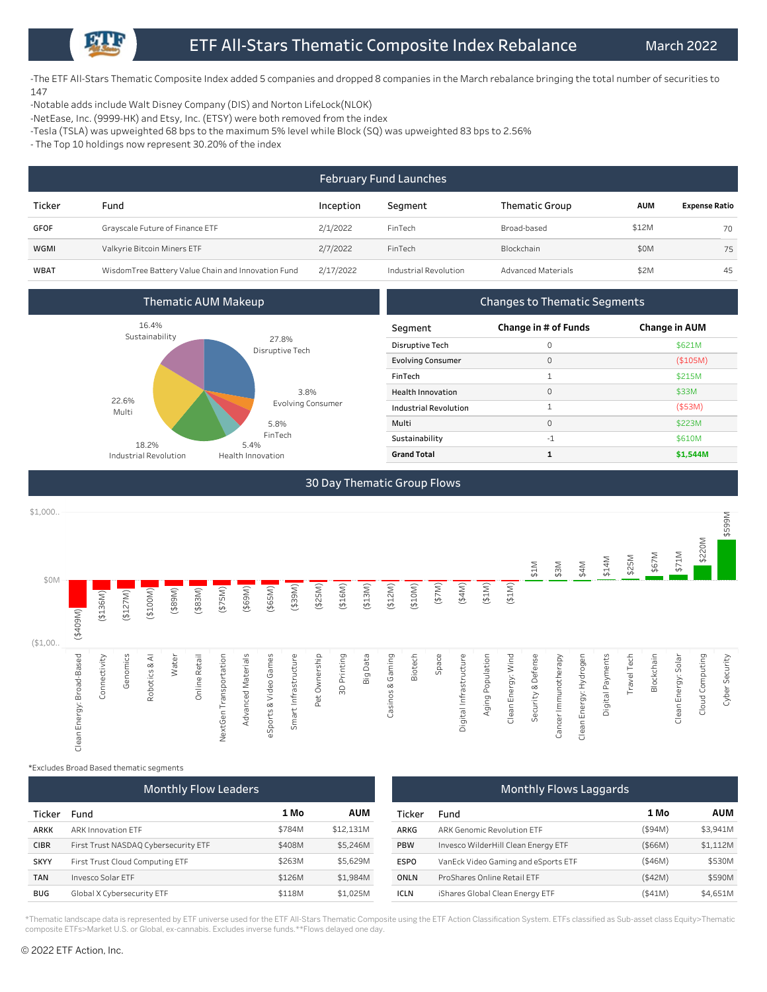-The ETF All-Stars Thematic Composite Index added 5 companies and dropped 8 companies in the March rebalance bringing the total number of securities to 147

- -Notable adds include Walt Disney Company (DIS) and Norton LifeLock(NLOK)
- -NetEase, Inc. (9999-HK) and Etsy, Inc. (ETSY) were both removed from the index
- -Tesla (TSLA) was upweighted 68 bps to the maximum 5% level while Block (SQ) was upweighted 83 bps to 2.56%
- The Top 10 holdings now represent 30.20% of the index

|        |                                                    | <b>February Fund Launches</b> |                       |                           |            |                      |
|--------|----------------------------------------------------|-------------------------------|-----------------------|---------------------------|------------|----------------------|
| Ticker | Fund                                               | Inception                     | Segment               | <b>Thematic Group</b>     | <b>AUM</b> | <b>Expense Ratio</b> |
| GFOF   | Grayscale Future of Finance ETF                    | 2/1/2022                      | FinTech               | Broad-based               | \$12M      | 70                   |
| WGMI   | Valkyrie Bitcoin Miners ETF                        | 2/7/2022                      | FinTech               | Blockchain                | \$0M       | 75                   |
| WBAT   | WisdomTree Battery Value Chain and Innovation Fund | 2/17/2022                     | Industrial Revolution | <b>Advanced Materials</b> | \$2M       | 45                   |





\*Excludes Broad Based thematic segments

|             | <b>Monthly Flow Leaders</b>          |        |            |             | Monthly Flows Laggards              |            |          |
|-------------|--------------------------------------|--------|------------|-------------|-------------------------------------|------------|----------|
| Ticker      | Fund                                 | 1 Mo   | <b>AUM</b> | Ticker      | Fund                                | 1 Mo       | AUM      |
| ARKK        | ARK Innovation ETF                   | \$784M | \$12,131M  | ARKG        | ARK Genomic Revolution ETF          | $($ \$94M) | \$3,941M |
| <b>CIBR</b> | First Trust NASDAQ Cybersecurity ETF | \$408M | \$5,246M   | <b>PBW</b>  | Invesco WilderHill Clean Energy ETF | ( \$66M)   | \$1,112M |
| <b>SKYY</b> | First Trust Cloud Computing ETF      | \$263M | \$5,629M   | <b>ESPO</b> | VanEck Video Gaming and eSports ETF | ( \$46M)   | \$530M   |
| <b>TAN</b>  | Invesco Solar ETF                    | \$126M | \$1,984M   | ONLN        | ProShares Online Retail ETF         | (\$42M)    | \$590M   |
| <b>BUG</b>  | Global X Cybersecurity ETF           | \$118M | \$1,025M   | ICLN        | iShares Global Clean Energy ETF     | ( \$41M)   | \$4,651M |

\*ThematiclandscapedataisrepresentedbyETFuniverseusedfortheETFAll-StarsThematicCompositeusingtheETFActionClassificationSystem.ETFsclassifiedasSub-assetclassEquity>Thematic composite ETFs>Market U.S. or Global, ex-cannabis. Excludes inverse funds.\*\*Flows delayed one day.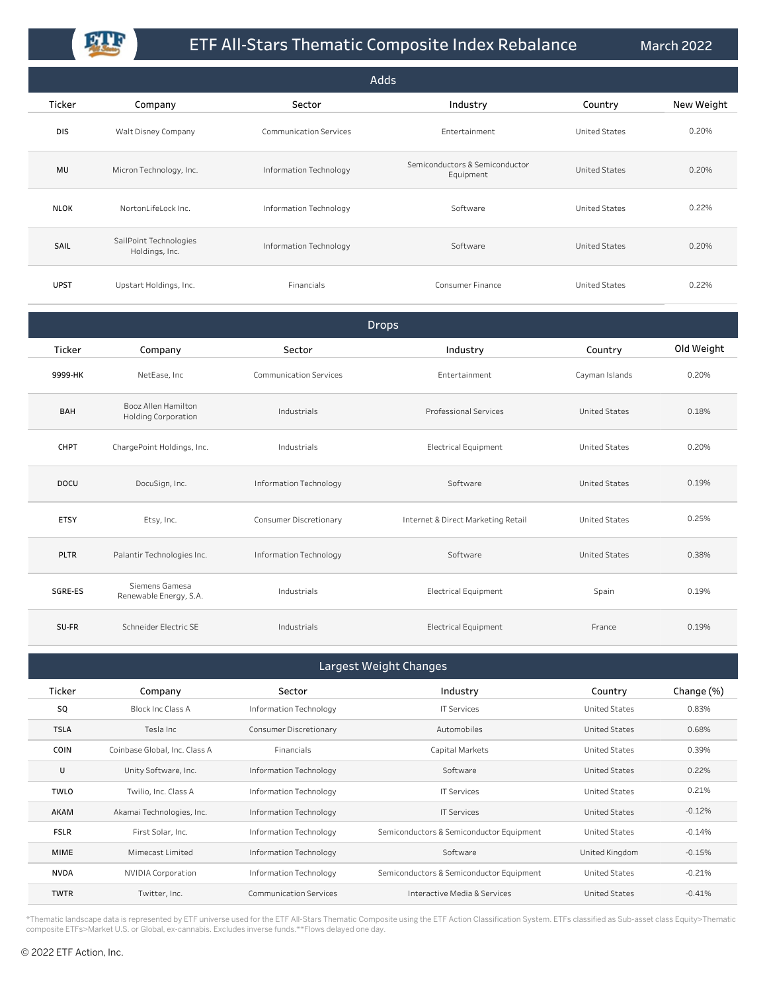## ETF All-Stars Thematic Composite Index Rebalance

March 2022

| <b>Adds</b> |                                          |                               |                                             |                      |            |  |  |
|-------------|------------------------------------------|-------------------------------|---------------------------------------------|----------------------|------------|--|--|
| Ticker      | Company                                  | Sector                        | Industry                                    | Country              | New Weight |  |  |
| <b>DIS</b>  | Walt Disney Company                      | <b>Communication Services</b> | Entertainment                               | United States        | 0.20%      |  |  |
| MU          | Micron Technology, Inc.                  | Information Technology        | Semiconductors & Semiconductor<br>Equipment | <b>United States</b> | 0.20%      |  |  |
| <b>NLOK</b> | NortonLifeLock Inc.                      | Information Technology        | Software                                    | <b>United States</b> | 0.22%      |  |  |
| SAIL        | SailPoint Technologies<br>Holdings, Inc. | Information Technology        | Software                                    | <b>United States</b> | 0.20%      |  |  |
| <b>UPST</b> | Upstart Holdings, Inc.                   | Financials                    | Consumer Finance                            | <b>United States</b> | 0.22%      |  |  |

| <b>Drops</b> |                                                   |                               |                                    |                      |            |  |  |
|--------------|---------------------------------------------------|-------------------------------|------------------------------------|----------------------|------------|--|--|
| Ticker       | Company                                           | Sector                        | Industry                           | Country              | Old Weight |  |  |
| 9999-HK      | NetEase, Inc                                      | <b>Communication Services</b> | Entertainment                      | Cayman Islands       | 0.20%      |  |  |
| <b>BAH</b>   | Booz Allen Hamilton<br><b>Holding Corporation</b> | Industrials                   | Professional Services              | <b>United States</b> | 0.18%      |  |  |
| CHPT         | ChargePoint Holdings, Inc.                        | Industrials                   | <b>Electrical Equipment</b>        | <b>United States</b> | 0.20%      |  |  |
| <b>DOCU</b>  | DocuSign, Inc.                                    | Information Technology        | Software                           | <b>United States</b> | 0.19%      |  |  |
| <b>ETSY</b>  | Etsy, Inc.                                        | Consumer Discretionary        | Internet & Direct Marketing Retail | <b>United States</b> | 0.25%      |  |  |
| <b>PLTR</b>  | Palantir Technologies Inc.                        | Information Technology        | Software                           | <b>United States</b> | 0.38%      |  |  |
| SGRE-ES      | Siemens Gamesa<br>Renewable Energy, S.A.          | Industrials                   | <b>Electrical Equipment</b>        | Spain                | 0.19%      |  |  |
| SU-FR        | Schneider Electric SE                             | Industrials                   | <b>Electrical Equipment</b>        | France               | 0.19%      |  |  |

| Largest Weight Changes |                               |                               |                                          |                      |            |  |  |
|------------------------|-------------------------------|-------------------------------|------------------------------------------|----------------------|------------|--|--|
| Ticker                 | Company                       | Sector                        | Industry                                 | Country              | Change (%) |  |  |
| SQ                     | Block Inc Class A             | Information Technology        | <b>IT Services</b>                       | <b>United States</b> | 0.83%      |  |  |
| <b>TSLA</b>            | Tesla Inc                     | Consumer Discretionary        | Automobiles                              | <b>United States</b> | 0.68%      |  |  |
| <b>COIN</b>            | Coinbase Global, Inc. Class A | Financials                    | Capital Markets                          | <b>United States</b> | 0.39%      |  |  |
| U                      | Unity Software, Inc.          | Information Technology        | Software                                 | <b>United States</b> | 0.22%      |  |  |
| <b>TWLO</b>            | Twilio, Inc. Class A          | Information Technology        | <b>IT Services</b>                       | <b>United States</b> | 0.21%      |  |  |
| AKAM                   | Akamai Technologies, Inc.     | Information Technology        | <b>IT Services</b>                       | <b>United States</b> | $-0.12%$   |  |  |
| <b>FSLR</b>            | First Solar, Inc.             | Information Technology        | Semiconductors & Semiconductor Equipment | <b>United States</b> | $-0.14%$   |  |  |
| <b>MIME</b>            | Mimecast Limited              | Information Technology        | Software                                 | United Kingdom       | $-0.15%$   |  |  |
| <b>NVDA</b>            | NVIDIA Corporation            | Information Technology        | Semiconductors & Semiconductor Equipment | <b>United States</b> | $-0.21%$   |  |  |
| <b>TWTR</b>            | Twitter, Inc.                 | <b>Communication Services</b> | Interactive Media & Services             | <b>United States</b> | $-0.41%$   |  |  |

\*Thematic landscape data is represented by ETF universe used for the ETF All-Stars Thematic Composite using the ETF Action Classification System. ETFs classified as Sub-asset class Equity>Thematic<br>composite ETFs>Market U.S